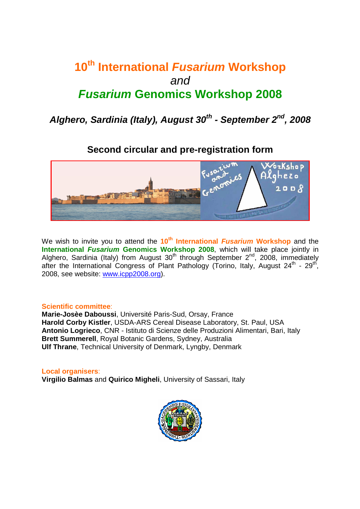# **10th International Fusarium Workshop**  and **Fusarium Genomics Workshop 2008**

**Alghero, Sardinia (Italy), August 30th - September 2nd, 2008** 

## **Second circular and pre-registration form**



We wish to invite you to attend the 10<sup>th</sup> International *Fusarium* Workshop and the **International Fusarium Genomics Workshop 2008**, which will take place jointly in Alghero, Sardinia (Italy) from August  $30<sup>th</sup>$  through September  $2<sup>nd</sup>$ , 2008, immediately after the International Congress of Plant Pathology (Torino, Italy, August 24<sup>th</sup> - 29<sup>th</sup>, 2008, see website: www.icpp2008.org).

#### **Scientific committee**:

**Marie-Josèe Daboussi**, Université Paris-Sud, Orsay, France **Harold Corby Kistler**, USDA-ARS Cereal Disease Laboratory, St. Paul, USA **Antonio Logrieco**, CNR - Istituto di Scienze delle Produzioni Alimentari, Bari, Italy **Brett Summerell**, Royal Botanic Gardens, Sydney, Australia **Ulf Thrane**, Technical University of Denmark, Lyngby, Denmark

**Local organisers**: **Virgilio Balmas** and **Quirico Migheli**, University of Sassari, Italy

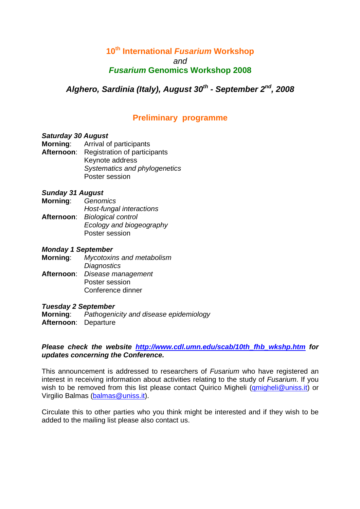### **10th International Fusarium Workshop**  and **Fusarium Genomics Workshop 2008**

**Alghero, Sardinia (Italy), August 30th - September 2nd, 2008** 

## **Preliminary programme**

#### **Saturday 30 August**

- **Morning**: Arrival of participants
- **Afternoon**: Registration of participants Keynote address Systematics and phylogenetics Poster session

#### **Sunday 31 August**

- **Morning**: Genomics
- Host-fungal interactions **Afternoon**: Biological control Ecology and biogeography Poster session

#### **Monday 1 September**

- **Morning**: Mycotoxins and metabolism **Diagnostics**
- **Afternoon**: Disease management Poster session Conference dinner

#### **Tuesday 2 September**

**Morning:** Pathogenicity and disease epidemiology **Afternoon**: Departure

Please check the website http://www.cdl.umn.edu/scab/10th fhb wkshp.htm for **updates concerning the Conference.** 

This announcement is addressed to researchers of Fusarium who have registered an interest in receiving information about activities relating to the study of Fusarium. If you wish to be removed from this list please contact Quirico Migheli (qmigheli@uniss.it) or Virgilio Balmas (balmas@uniss.it).

Circulate this to other parties who you think might be interested and if they wish to be added to the mailing list please also contact us.